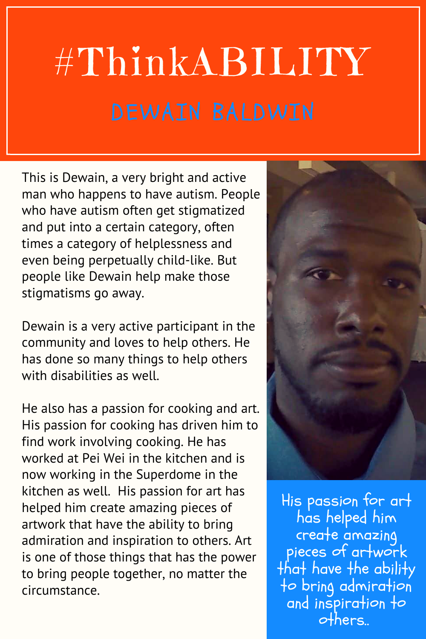## #ThinkABILITY

This is Dewain, a very bright and active man who happens to have autism. People who have autism often get stigmatized and put into a certain category, often times a category of helplessness and even being perpetually child-like. But people like Dewain help make those stigmatisms go away.

Dewain is a very active participant in the community and loves to help others. He has done so many things to help others with disabilities as well.

He also has a passion for cooking and art. His passion for cooking has driven him to find work involving cooking. He has worked at Pei Wei in the kitchen and is now working in the Superdome in the kitchen as well. His passion for art has helped him create amazing pieces of artwork that have the ability to bring admiration and inspiration to others. Art is one of those things that has the power to bring people together, no matter the circumstance.



His passion for art has helped him create amazing pieces of artwork that have the ability to bring admiration and inspiration to others..